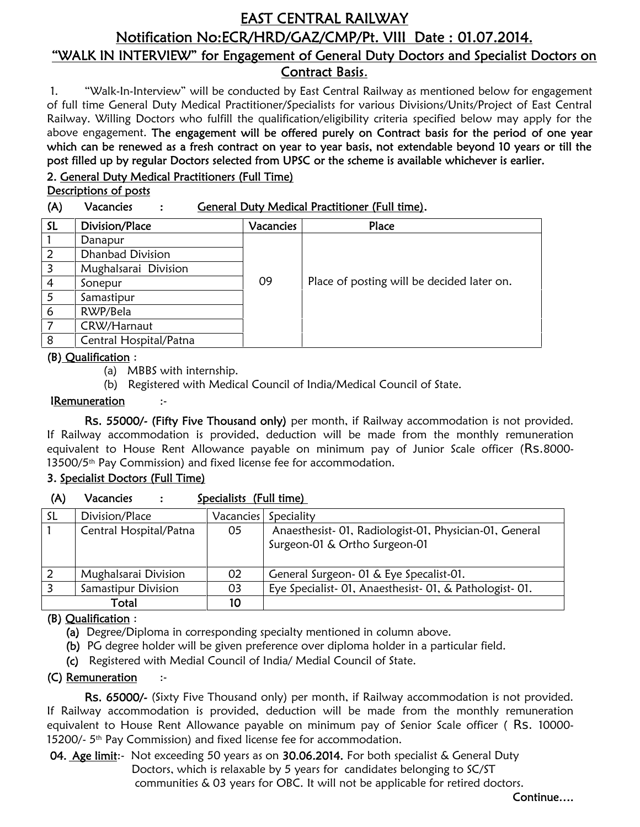# **EAST CENTRAL RAILWAY Notification No:ECR/HRD/GAZ/CMP/Pt. VIII Date : 01.07.2014. "WALK IN INTERVIEW" for Engagement of General Duty Doctors and Specialist Doctors on**

**Contract Basis**.

1. "Walk-In-Interview" will be conducted by East Central Railway as mentioned below for engagement of full time General Duty Medical Practitioner/Specialists for various Divisions/Units/Project of East Central Railway. Willing Doctors who fulfill the qualification/eligibility criteria specified below may apply for the above engagement. **The engagement will be offered purely on Contract basis for the period of one year which can be renewed as a fresh contract on year to year basis, not extendable beyond 10 years or till the post filled up by regular Doctors selected from UPSC or the scheme is available whichever is earlier.**

### **2. General Duty Medical Practitioners (Full Time)**

**Descriptions of posts**

**(A) Vacancies : General Duty Medical Practitioner (Full time).**

| SL | Division/Place          | Vacancies | Place                                      |
|----|-------------------------|-----------|--------------------------------------------|
|    | Danapur                 |           |                                            |
| 2  | <b>Dhanbad Division</b> |           |                                            |
| 3  | Mughalsarai Division    |           |                                            |
| 4  | Sonepur                 | 09        | Place of posting will be decided later on. |
|    | Samastipur              |           |                                            |
| 6  | RWP/Bela                |           |                                            |
|    | CRW/Harnaut             |           |                                            |
| 8  | Central Hospital/Patna  |           |                                            |

### **(B) Qualification** :

(a) MBBS with internship.

(b) Registered with Medical Council of India/Medical Council of State.

### **IRemuneration** :-

**Rs. 55000/- (Fifty Five Thousand only)** per month, if Railway accommodation is not provided. If Railway accommodation is provided, deduction will be made from the monthly remuneration equivalent to House Rent Allowance payable on minimum pay of Junior Scale officer (Rs.8000- 13500/5<sup>th</sup> Pay Commission) and fixed license fee for accommodation.

### **3. Specialist Doctors (Full Time)**

| (A) | Vacancies | Specialists (Full time) |  |
|-----|-----------|-------------------------|--|
|     |           |                         |  |

| -SL | Division/Place         | Vacancies | Speciality                                              |
|-----|------------------------|-----------|---------------------------------------------------------|
|     | Central Hospital/Patna | 05        | Anaesthesist- 01, Radiologist-01, Physician-01, General |
|     |                        |           | Surgeon-01 & Ortho Surgeon-01                           |
|     |                        |           |                                                         |
| 2   | Mughalsarai Division   | 02        | General Surgeon- 01 & Eye Specalist-01.                 |
|     | Samastipur Division    | 03        | Eye Specialist-01, Anaesthesist-01, & Pathologist-01.   |
|     | Total                  | 10        |                                                         |

## **(B) Qualification** :

**(a)** Degree/Diploma in corresponding specialty mentioned in column above.

- **(b)** PG degree holder will be given preference over diploma holder in a particular field.
- **(c)** Registered with Medial Council of India/ Medial Council of State.

### **(C) Remuneration** :-

**Rs. 65000/-** (Sixty Five Thousand only) per month, if Railway accommodation is not provided. If Railway accommodation is provided, deduction will be made from the monthly remuneration equivalent to House Rent Allowance payable on minimum pay of Senior Scale officer (RS. 10000-15200/- 5<sup>th</sup> Pay Commission) and fixed license fee for accommodation.

**04. Age limit**:- Not exceeding 50 years as on **30.06.2014.** For both specialist & General Duty Doctors, which is relaxable by 5 years for candidates belonging to SC/ST communities & 03 years for OBC. It will not be applicable for retired doctors.

**Continue….**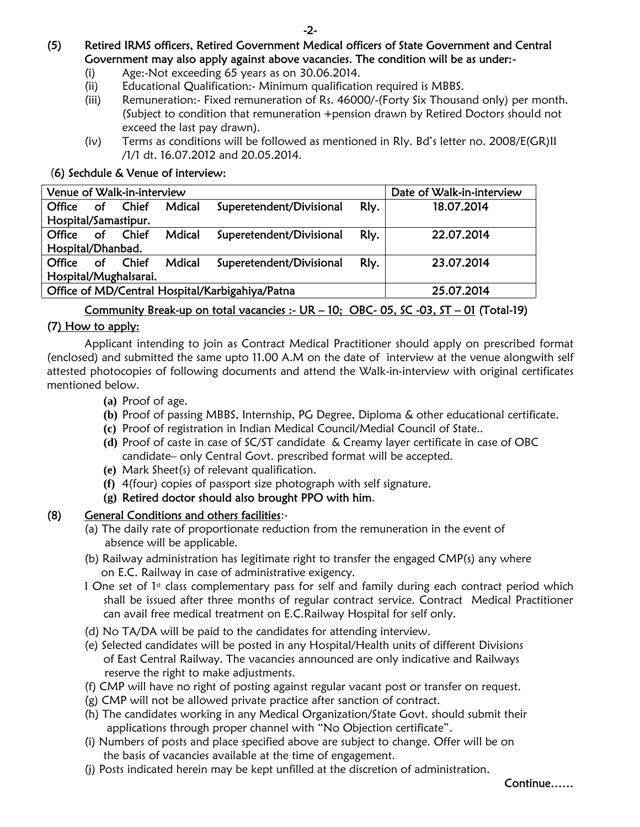## **(5) Retired IRMS officers, Retired Government Medical officers of State Government and Central Government may also apply against above vacancies. The condition will be as under:-**

- (i) Age:-Not exceeding 65 years as on 30.06.2014.
- (ii) Educational Qualification:- Minimum qualification required is MBBS.
- (iii) Remuneration:- Fixed remuneration of Rs. 46000/-(Forty Six Thousand only) per month. (Subject to condition that remuneration +pension drawn by Retired Doctors should not exceed the last pay drawn).
- (iv) Terms as conditions will be followed as mentioned in Rly. Bd's letter no. 2008/E(GR)II /1/1 dt. 16.07.2012 and 20.05.2014.

### (**6) Sechdule & Venue of interview:**

| Date of Walk-in-interview<br>Venue of Walk-in-interview       |           |       |        |                          |      |            |  |
|---------------------------------------------------------------|-----------|-------|--------|--------------------------|------|------------|--|
| Office                                                        | <b>of</b> | Chief | Mdical | Superetendent/Divisional | Rly. | 18.07.2014 |  |
| Hospital/Samastipur.                                          |           |       |        |                          |      |            |  |
| Office                                                        | of        | Chief | Mdical | Superetendent/Divisional | Rly. | 22.07.2014 |  |
| Hospital/Dhanbad.                                             |           |       |        |                          |      |            |  |
| Office                                                        | Οf        | Chief | Mdical | Superetendent/Divisional | Rly. | 23.07.2014 |  |
| Hospital/Mughalsarai.                                         |           |       |        |                          |      |            |  |
| Office of MD/Central Hospital/Karbigahiya/Patna<br>25.07.2014 |           |       |        |                          |      |            |  |
|                                                               |           |       |        |                          |      |            |  |

### **Community Break-up on total vacancies :- UR – 10; OBC- 05, SC -03, ST – 01 (Total-19)**

### **(7) How to apply:**

Applicant intending to join as Contract Medical Practitioner should apply on prescribed format (enclosed) and submitted the same upto 11.00 A.M on the date of interview at the venue alongwith self attested photocopies of following documents and attend the Walk-in-interview with original certificates mentioned below.

- **(a)** Proof of age.
- **(b)** Proof of passing MBBS, Internship, PG Degree, Diploma & other educational certificate.
- **(c)** Proof of registration in Indian Medical Council/Medial Council of State..
- **(d)** Proof of caste in case of SC/ST candidate & Creamy layer certificate in case of OBC candidate– only Central Govt. prescribed format will be accepted.
- **(e)** Mark Sheet(s) of relevant qualification.
- **(f)** 4(four) copies of passport size photograph with self signature.
- **(g) Retired doctor should also brought PPO with him**.

### **(8) General Conditions and others facilities**:-

- (a) The daily rate of proportionate reduction from the remuneration in the event of absence will be applicable.
- (b) Railway administration has legitimate right to transfer the engaged CMP(s) any where on E.C. Railway in case of administrative exigency.
- I One set of  $1<sup>st</sup>$  class complementary pass for self and family during each contract period which shall be issued after three months of regular contract service. Contract Medical Practitioner can avail free medical treatment on E.C.Railway Hospital for self only.
- (d) No TA/DA will be paid to the candidates for attending interview.
- (e) Selected candidates will be posted in any Hospital/Health units of different Divisions of East Central Railway. The vacancies announced are only indicative and Railways reserve the right to make adjustments.
- (f) CMP will have no right of posting against regular vacant post or transfer on request.
- (g) CMP will not be allowed private practice after sanction of contract.
- (h) The candidates working in any Medical Organization/State Govt. should submit their applications through proper channel with "No Objection certificate".
- (i) Numbers of posts and place specified above are subject to change. Offer will be on the basis of vacancies available at the time of engagement.
- (j) Posts indicated herein may be kept unfilled at the discretion of administration.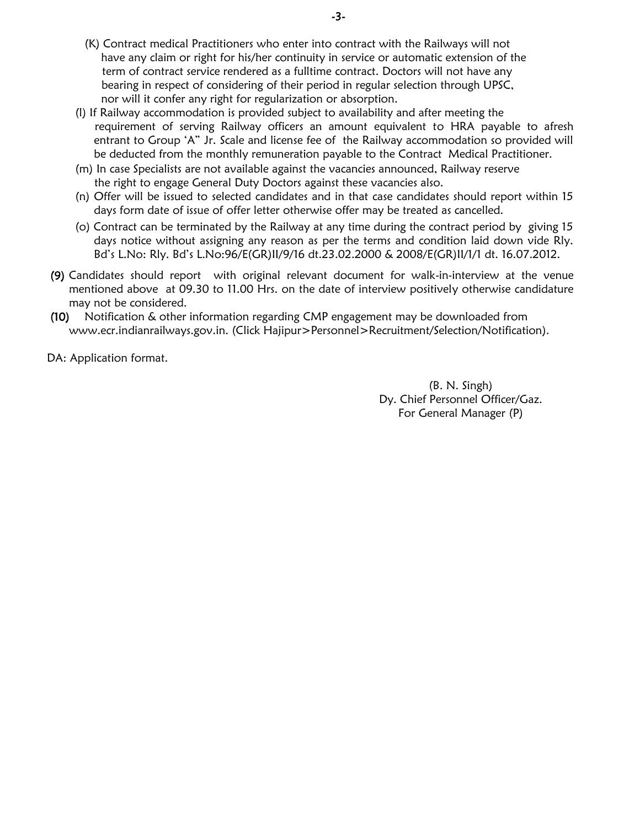- (K) Contract medical Practitioners who enter into contract with the Railways will not have any claim or right for his/her continuity in service or automatic extension of the term of contract service rendered as a fulltime contract. Doctors will not have any bearing in respect of considering of their period in regular selection through UPSC, nor will it confer any right for regularization or absorption.
- (l) If Railway accommodation is provided subject to availability and after meeting the requirement of serving Railway officers an amount equivalent to HRA payable to afresh entrant to Group 'A" Jr. Scale and license fee of the Railway accommodation so provided will be deducted from the monthly remuneration payable to the Contract Medical Practitioner.
- (m) In case Specialists are not available against the vacancies announced, Railway reserve the right to engage General Duty Doctors against these vacancies also.
- (n) Offer will be issued to selected candidates and in that case candidates should report within 15 days form date of issue of offer letter otherwise offer may be treated as cancelled.
- (o) Contract can be terminated by the Railway at any time during the contract period by giving 15 days notice without assigning any reason as per the terms and condition laid down vide Rly. Bd's L.No: Rly. Bd's L.No:96/E(GR)II/9/16 dt.23.02.2000 & 2008/E(GR)II/1/1 dt. 16.07.2012.
- **(9)** Candidates should report with original relevant document for walk-in-interview at the venue mentioned above at 09.30 to 11.00 Hrs. on the date of interview positively otherwise candidature may not be considered.
- **(10)** Notification & other information regarding CMP engagement may be downloaded from www.ecr.indianrailways.gov.in. (Click Hajipur>Personnel>Recruitment/Selection/Notification).

DA: Application format.

(B. N. Singh) Dy. Chief Personnel Officer/Gaz. For General Manager (P)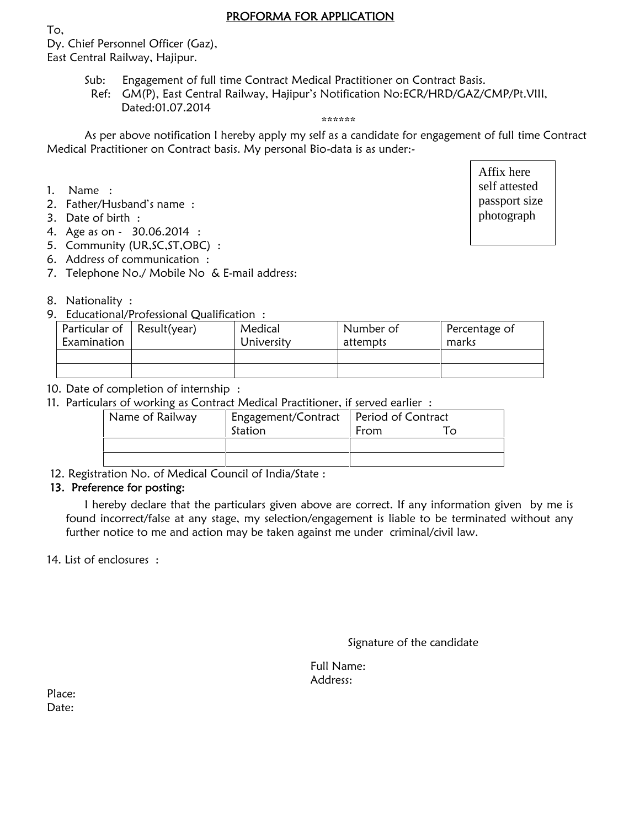### **PROFORMA FOR APPLICATION**

Dy. Chief Personnel Officer (Gaz),

East Central Railway, Hajipur.

- Sub: Engagement of full time Contract Medical Practitioner on Contract Basis.
	- Ref: GM(P), East Central Railway, Hajipur's Notification No:ECR/HRD/GAZ/CMP/Pt.VIII, Dated:01.07.2014

### \*\*\*\*\*\*

As per above notification I hereby apply my self as a candidate for engagement of full time Contract Medical Practitioner on Contract basis. My personal Bio-data is as under:-

1. Name :

To,

- 2. Father/Husband's name :
- 3. Date of birth :
- 4. Age as on 30.06.2014 :
- 5. Community (UR,SC,ST,OBC) :
- 6. Address of communication :
- 7. Telephone No./ Mobile No & E-mail address:

### 8. Nationality :

9. Educational/Professional Qualification :

| Particular of<br>Examination | Result(year) | Medical<br>University | Number of<br>attempts | Percentage of<br>marks |
|------------------------------|--------------|-----------------------|-----------------------|------------------------|
|                              |              |                       |                       |                        |
|                              |              |                       |                       |                        |

- 10. Date of completion of internship :
- 11. Particulars of working as Contract Medical Practitioner, if served earlier :

| Name of Railway | Engagement/Contract   Period of Contract |      |  |
|-----------------|------------------------------------------|------|--|
|                 | Station                                  | From |  |
|                 |                                          |      |  |
|                 |                                          |      |  |

12. Registration No. of Medical Council of India/State :

### **13. Preference for posting:**

I hereby declare that the particulars given above are correct. If any information given by me is found incorrect/false at any stage, my selection/engagement is liable to be terminated without any further notice to me and action may be taken against me under criminal/civil law.

14. List of enclosures :

Full Name: Address:

| Place: |  |
|--------|--|
| Date:  |  |

Affix here self attested passport size photograph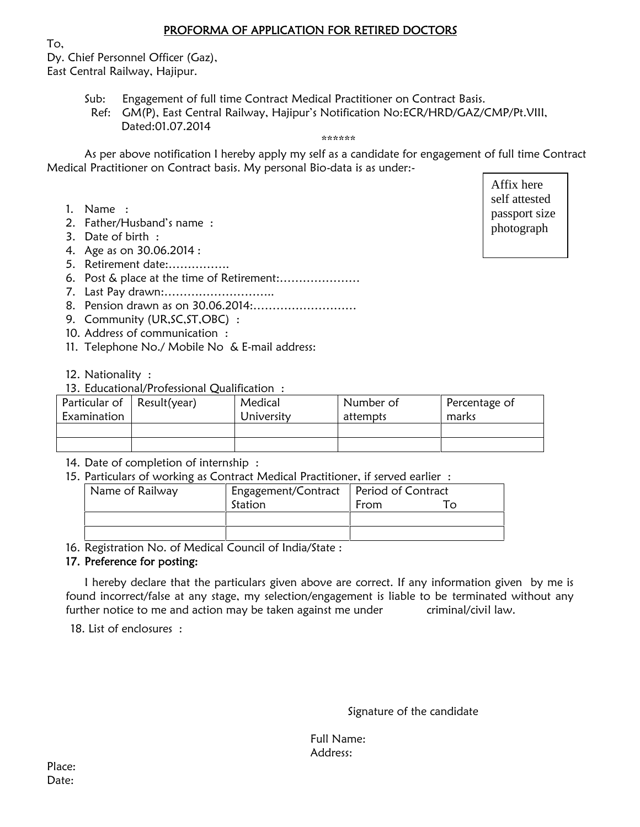### **PROFORMA OF APPLICATION FOR RETIRED DOCTORS**

To,

Dy. Chief Personnel Officer (Gaz), East Central Railway, Hajipur.

- Sub: Engagement of full time Contract Medical Practitioner on Contract Basis.
- Ref: GM(P), East Central Railway, Hajipur's Notification No:ECR/HRD/GAZ/CMP/Pt.VIII, Dated:01.07.2014

### \*\*\*\*\*\*

As per above notification I hereby apply my self as a candidate for engagement of full time Contract Medical Practitioner on Contract basis. My personal Bio-data is as under:-

- 1. Name :
- 2. Father/Husband's name :
- 3. Date of birth :
- 4. Age as on 30.06.2014 :
- 5. Retirement date:…………….
- 6. Post & place at the time of Retirement:…………………
- 7. Last Pay drawn:………………………..
- 8. Pension drawn as on 30.06.2014:………………………
- 9. Community (UR, SC, ST, OBC):
- 10. Address of communication :
- 11. Telephone No./ Mobile No & E-mail address:
- 12. Nationality :
- 13. Educational/Professional Qualification :

| Particular of $\vert$ Result(year)<br>Examination | Medical<br>University | Number of<br>attempts | Percentage of<br>marks |
|---------------------------------------------------|-----------------------|-----------------------|------------------------|
|                                                   |                       |                       |                        |
|                                                   |                       |                       |                        |

- 14. Date of completion of internship :
- 15. Particulars of working as Contract Medical Practitioner, if served earlier :

| Name of Railway | Engagement/Contract   Period of Contract |      |  |
|-----------------|------------------------------------------|------|--|
|                 | Station                                  | From |  |
|                 |                                          |      |  |
|                 |                                          |      |  |

16. Registration No. of Medical Council of India/State :

### **17. Preference for posting:**

I hereby declare that the particulars given above are correct. If any information given by me is found incorrect/false at any stage, my selection/engagement is liable to be terminated without any further notice to me and action may be taken against me under criminal/civil law.

18. List of enclosures :

Signature of the candidate

Full Name: Address:

self attested | Affix here passport size photograph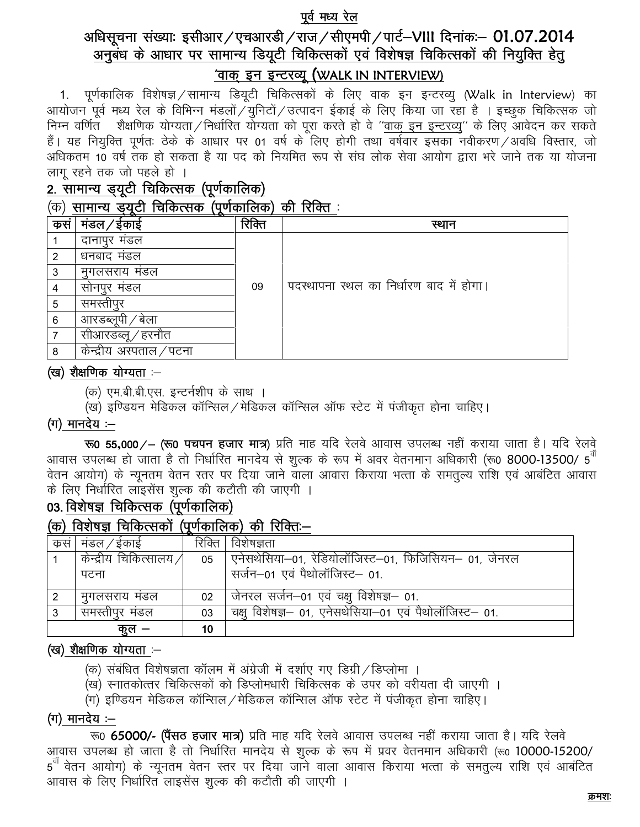### पूर्व मध्य रेल

# अधिसूचना संख्याः इसीआर/एचआरडी/राज/सीएमपी/पार्ट-VIII दिनांकः- 01.07.2014 अनुबंध के आधार पर सामान्य डियूटी चिकित्सकों एवं विशेषज्ञ चिकित्सकों की नियुक्ति हेतु

## 'वाक् इन इन्टरव्यू (WALK IN INTERVIEW)

1. पूर्णकालिक विशेषज्ञ / सामान्य डियूटी चिकित्सकों के लिए वाक इन इन्टरव्यू (Walk in Interview) का आयोजन पूर्व मध्य रेल के विभिन्न मंडलों / युनिटों / उत्पादन ईकाई के लिए किया जा रहा है । इच्छुक चिकित्सक जो ज्ञानिक गर्नुहोत् । स्थानिक योग्यता / निर्धारित योग्यता को पूरा करते हो वे ''<u>वाक इन इन्टरव्यु</u>'' के लिए आवेदन कर सकते<br>निम्न वर्णित शैक्षणिक योग्यता / निर्धारित योग्यता को पूरा करते हो वे ''<u>वाक इन इन्टरव्यु</u>'' के लिए अधिकतम 10 वर्ष तंक हो सकता है या पद को नियमित रूप से संघ लोक सेवा आयोग द्वारा भरे जाने तक या योजना लागू रहने तक जो पहले हो ।

# 2. सामान्य ड्यूटी चिकित्सक (पूर्णकालिक)

## $\sigma$ ) सामान्य उँयटी चिकित्सक (पर्णकालिक) की रिक्ति :

| कस | मडल ⁄ ईकाई               | रिक्ति | स्थान                                    |
|----|--------------------------|--------|------------------------------------------|
|    | दानापुर मंडल             |        |                                          |
| 2  | धनबाद मंडल               |        |                                          |
| 3  | मुगलसराय मंडल            |        |                                          |
|    | सोनपुर मंडल              | 09     | पदस्थापना स्थल का निर्धारण बाद में होगा। |
| 5  | समस्तीपुर                |        |                                          |
| 6  | आरडब्लूपी / बेला         |        |                                          |
|    | सीआरडब्लू / हरनौत        |        |                                          |
| 8  | केन्द्रीय अस्पताल ⁄ पटना |        |                                          |

### (ख) शैक्षणिक योग्यता :-

- (क) एम.बी.बी.एस. इन्टर्नशीप के साथ ।
- (ख) इण्डियन मेडिकल कॉन्सिल/मेडिकल कॉन्सिल ऑफ स्टेट में पंजीकृत होना चाहिए।

## (ग) मानदेय :—

रू0 55,000/ – (रू0 पचपन हजार मात्र) प्रति माह यदि रेलवे आवास उपलब्ध नहीं कराया जाता है। यदि रेलवे आवास उपलब्ध हो जाता है तो निर्धारित मानदेय से शुल्क के रूप में अवर वेतनमान अधिकारी (रू0 8000-13500/ 5<sup>वॉ</sup> .<br>वेतन आयोग) के न्यूनतम वेतन स्तर पर दिया जाने वाला आवास किराया भत्ता के समतुल्य राशि एवं आबंटित आवास के लिए निर्धारित लाइसेंस शुल्क की कटौती की जाएगी ।

## 03. विशेषज्ञ चिकित्सक (पूर्णकालिक)

## (क) विशेषज्ञ चिकित्सकों (पर्णकालिक) की रिक्तिः–

| कसं | मंडल ⁄ ईकाई              | रिक्ति | विशेषज्ञता                                             |
|-----|--------------------------|--------|--------------------------------------------------------|
|     | केन्द्रीय चिकित्सालय $/$ | 05     | एनेसथेसिया–01, रेडियोलॉजिस्ट–01, फिजिसियन– 01, जेनरल   |
|     | पटना                     |        | सर्जन-01 एवं पैथोलॉजिस्ट- 01.                          |
|     | मुगलसराय मडल             | 02     | जेनरल सर्जन-01 एवं चक्षु विशेषज्ञ- 01.                 |
|     | समस्तीपुर मंडल           | 03     | चक्षु विशेषज्ञ- 01, एनेसथेसिया-01 एवं पैथोलॉजिस्ट- 01. |
|     | ক প                      | 10     |                                                        |

## (ख) शैक्षणिक योग्यता :--

- (क) संबंधित विशेषज्ञता कॉलम में अंग्रेजी में दर्शाए गए डिग्री ⁄ डिप्लोमा ।
- (ख) स्नातकोत्तर चिकित्सकों को डिप्लोमधारी चिकित्सक के उपर को वरीयता दी जाएगी ।
- (ग) इण्डियन मेडिकल कॉन्सिल / मेडिकल कॉन्सिल ऑफ स्टेट में पंजीकृत होना चाहिए।

## $($ ग) मानदेय :—

रू0 65000/- (पैंसठ हजार मात्र) प्रति माह यदि रेलवे आवास उपलब्ध नहीं कराया जाता है। यदि रेलवे आवास उपलब्ध हो जाता है तो निर्धारित मानदेय से शुल्क के रूप में प्रवर वेतनमान अधिकारी (रू0 10000-15200/ 5<sup>न</sup> वेतन आयोग) के न्यूनतम वेतन स्तर पर दिया जाने वाला आवास किराया भत्ता के समतुल्य राशि एवं आबंटित आवास के लिए निर्धारित लाइसेंस शल्क की कटौती की जाएगी ।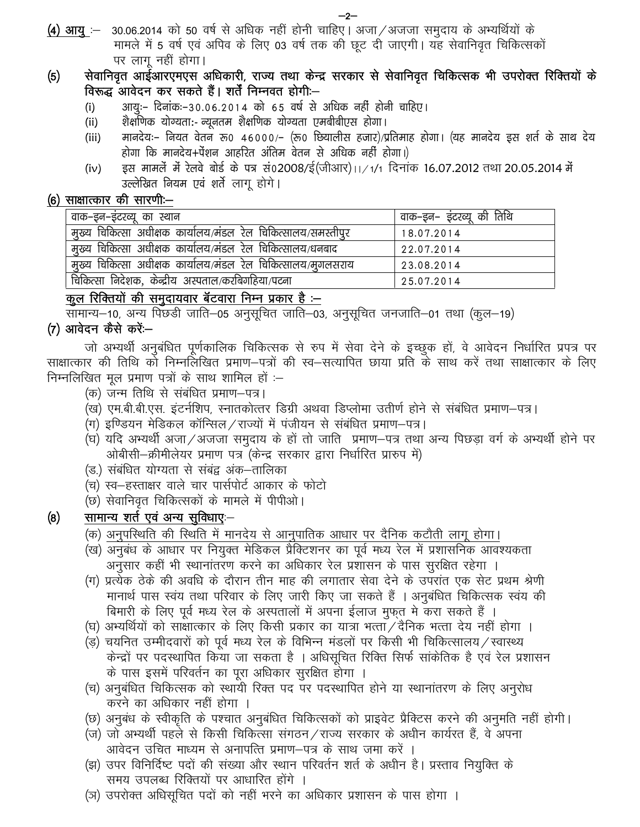### सेवानिवृत आईआरएमएस अधिकारी, राज्य तथा केन्द्र सरकार से सेवानिवृत चिकित्सक भी उपरोक्त रिक्तियों के  $(5)$ विरूद्ध आवेदन कर सकते हैं। शर्तें निम्नवत होगी:--

- आयुः– दिनांकः–३०.०६.२०१४ को ६५ वर्ष से अधिक नहीं होनी चाहिए।  $(i)$
- $(ii)$ शैक्षणिक योग्यता:- न्यूनतम शैक्षणिक योग्यता एमबीबीएस होगा।
- मानदेयः– नियत वेतन रू0 46000/– (रू0 छियालीस हजार)/प्रतिमाह होगा। (यह मानदेय इस शर्त के साथ देय  $(iii)$ होगा कि मानदेय+पेंशन आहरित अंतिम वेतन से अधिक नहीं होगा।)
- इस मामलें में रेलवे बोर्ड के पत्र सं02008/ई(जीआर)।।/1/1 दिनांक 16.07.2012 तथा 20.05.2014 में  $(iv)$ उल्लेखित नियम एवं शर्ते लागू होगे।

## (6) साक्षात्कार की सारणी:-

| वाक–इन–इटरव्यू का स्थान                                       | ' वाक–इन– इंटरव्यू की तिथि |
|---------------------------------------------------------------|----------------------------|
| मुख्य चिकित्सा अधीक्षक कार्यालय/मंडल रेल चिकित्सालय/समस्तीपुर | 18.07.2014                 |
| मूख्य चिकित्सा अधीक्षक कार्यालय/मंडल रेल चिकित्सालय/धनबाद     | 22.07.2014                 |
| मुख्य चिकित्सा अधीक्षक कार्यालय/मंडल रेल चिकित्सालय/मूगलसराय  | 23.08.2014                 |
| चिकित्सा निदेशक, केन्द्रीय अस्पताल/करबिगहिया/पटना             | 25.07.2014                 |

## कूल रिक्तियों की समुदायवार बॅटवारा निम्न प्रकार है :—

सामान्य–10, अन्य पिछडी जाति–05 अनुसूचित जाति–03, अनुसूचित जनजाति–01 तथा (कुल–19)

## (7) आवेदन कैसे करें:—

जो अभ्यर्थी अनुबंधित पूर्णकालिक चिकित्सक से रुप में सेवा देने के इच्छूक हों, वे आवेदन निर्धारित प्रपत्र पर साक्षात्कार की तिथि को निम्नलिखित प्रमाण–पत्रों की स्व–सत्यापित छाया प्रति के साथ करें तथा साक्षात्कार के लिए निम्नलिखित मूल प्रमाण पत्रों के साथ शामिल हों :–

- (क) जन्म तिथि से संबंधित प्रमाण–पत्र।
- (ख) एम.बी.बी.एस. इंटर्नशिप, स्नातकोत्तर डिग्री अथवा डिप्लोमा उतीर्ण होने से संबंधित प्रमाण–पत्र।
- (ग) इण्डियन मेडिकल कॉन्सिल ⁄ राज्यों में पंजीयन से संबंधित प्रमाण—पत्र।
- (घ) यदि अभ्यर्थी अजा ⁄ अजजा समुदाय के हों तो जाति) प्रमाण–पत्र तथा अन्य पिछड़ा वर्ग के अभ्यर्थी होने पर ओबीसी—क्रीमीलेयर प्रमाण पत्र (केन्द्र सरकार द्वारा निर्धारित प्रारुप में)
- (ड.) संबंधित योग्यता से संबंद्व अंक–तालिका
- (च) स्व—हस्ताक्षर वाले चार पार्सपोर्ट आकार के फोटो
- (छ) सेवानिवृत चिकित्सकों के मामले में पीपीओ।

#### $(8)$ सामान्य शर्त एवं अन्य सुविधाएः–

- (क) अनुपस्थिति की स्थिति में मानदेय से आनुपातिक आधार पर दैनिक कटौती लागू होगा।
- (ख) अनुबंध के आधार पर नियुक्त मेडिकल प्रैक्टिशनर का पूर्व मध्य रेल में प्रशासनिक आवश्यकता अनुसार कहीं भी स्थानांतरण करने का अधिकार रेल प्रशासन के पास सुरक्षित रहेगा ।
- (ग) प्रत्येक ठेके की अवधि के दौरान तीन माह की लगातार सेवा देने के उपरांत एक सेट प्रथम श्रेणी मानार्थ पास स्वंय तथा परिवार के लिए जारी किए जा सकते हैं । अनुबंधित चिकित्सक स्वंय की बिमारी के लिए पूर्व मध्य रेल के अस्पतालों में अपना ईलाज मुफ़त मे करा सकते हैं ।
- (घ) अभ्यर्थियों को साक्षात्कार के लिए किसी प्रकार का यात्रा भत्ता / दैनिक भत्ता देय नहीं होगा ।
- (ड़) चयनित उम्मीदवारों को पूर्व मध्य रेल के विभिन्न मंडलों पर किसी भी चिकित्सालय/स्वास्थ्य केन्द्रों पर पदस्थापित किया जा सकता है । अधिसूचित रिक्ति सिर्फ सांकेतिक है एवं रेल प्रशासन के पास इसमें परिवर्तन का पूरा अधिकार सुरक्षित होगा ।
- (च) अनुबंधित चिकित्सक को स्थायी रिक्त पद पर पदस्थापित होने या स्थानांतरण के लिए अनुरोध करने का अधिकार नहीं होगा ।
- (छ) अनुबंध के स्वीकृति के पश्चात अनुबंधित चिकित्सकों को प्राइवेट प्रैक्टिस करने की अनुमति नहीं होगी।
- (ज) जो अभ्यर्थी पहले से किसी चिकित्सा संगठन/राज्य सरकार के अधीन कार्यरत हैं, वे अपना आवेदन उचित माध्यम से अनापत्ति प्रमाण–पत्र के साथ जमा करें ।
- (झ) उपर विनिर्दिष्ट पदों की संख्या और स्थान परिवर्तन शर्त के अधीन है। प्रस्ताव नियुक्ति के समय उपलब्ध रिक्तियों पर आधारित होंगे ।
- (ञ) उपरोक्त अधिसुचित पदों को नहीं भरने का अधिकार प्रशासन के पास होगा ।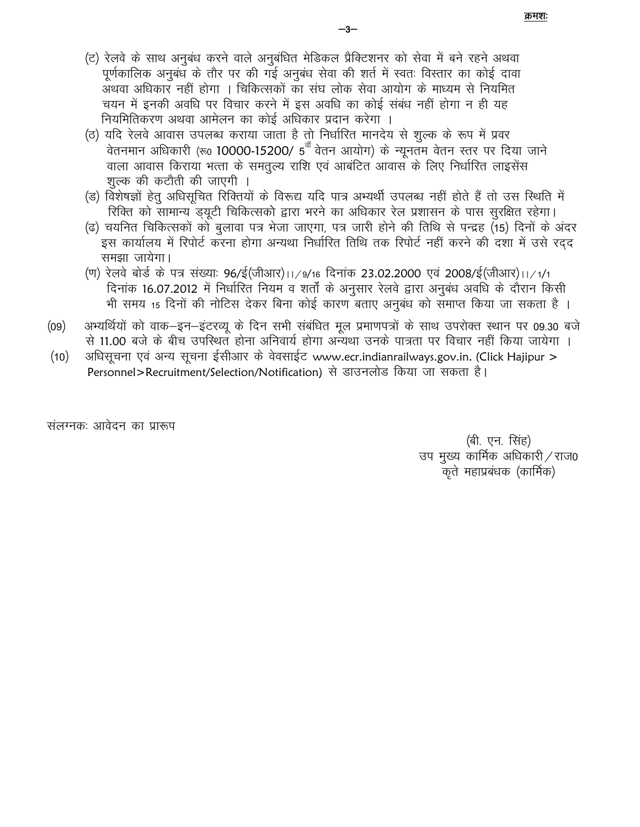- (ट) रेलवे के साथ अनुबंध करने वाले अनुबंधित मेडिकल प्रैक्टिशनर को सेवा में बने रहने अथवा पूर्णकालिक अनुबंध के तौर पर की गई अनुबंध सेवा की शर्त में स्वतः विस्तार का कोई दावा अथवा अधिकार नहीं होगा । चिकित्सकों का संघ लोक सेवा आयोग के माध्यम से नियमित चयन में इनकी अवधि पर विचार करने में इस अवधि का कोई संबंध नहीं होगा न ही यह नियमितिकरण अथवा आमेलन का कोई अधिकार प्रदान करेगा ।
- (ठ) यदि रेलवे आवास उपलब्ध कराया जाता है तो निर्धारित मानदेय से शुल्क के रूप में प्रवर वेतनमान अधिकारी (रू0 10000-15200/ 5<sup>वॉ</sup> वेतन आयोग) के न्यूनतम वेतन स्तर पर दिया जाने वाला आवास किराया भत्ता के समतुल्य राशि एवं आबंटित आवास के लिए निर्धारित लाइसेंस शुल्क की कटौती की जाएगी ।
- (ड) विशेषज्ञों हेतु अधिसूचित रिक्तियों के विरूद्य यदि पात्र अभ्यर्थी उपलब्ध नहीं होते हैं तो उस स्थिति में रिक्ति को सामान्य ड्यूटी चिकित्सको द्वारा भरने का अधिकार रेल प्रशासन के पास सुरक्षित रहेगा।
- (ढ) चयनित चिकित्सकों को बुलावा पत्र भेजा जाएगा, पत्र जारी होने की तिथि से पन्द्रह (15) दिनों के अंदर इस कार्यालय में रिपोर्ट करना होगा अन्यथा निर्धारित तिथि तक रिपोर्ट नहीं करने की दशा में उसे रदद समझा जायेगा।
- (ण) रेलवे बोर्ड के पत्र संख्याः 96/ई(जीआर)।।/9/16 दिनांक 23.02.2000 एवं 2008/ई(जीआर)।।/1/1 दिनांक 16.07.2012 में निर्धारित नियम व शर्तों के अनुसार रेलवे द्वारा अनुबंध अवधि के दौरान किसी भी समय 15 दिनों की नोटिस देकर बिना कोई कारण बताए अनुबंध को समाप्त किया जा सकता है ।
- अभ्यर्थियों को वाक-इन-इंटरव्यू के दिन सभी संबंधित मूल प्रमाणपत्रों के साथ उपरोक्त स्थान पर 09.30 बजे  $(09)$ से 11.00 बजे के बीच उपस्थित होना अनिवार्य होगा अन्यथा उनके पात्रता पर विचार नहीं किया जायेगा ।
- अधिसूचना एवं अन्य सूचना ईसीआर के वेवसाईट www.ecr.indianrailways.gov.in. (Click Hajipur >  $(10)$ Personnel>Recruitment/Selection/Notification) से डाउनलोड किया जा सकता है।

संलग्नकः आवेदन का प्रारूप

(बी. एन. सिंह) उप मुख्य कार्मिक अधिकारी / राज0 कृते महाप्रबंधक (कार्मिक)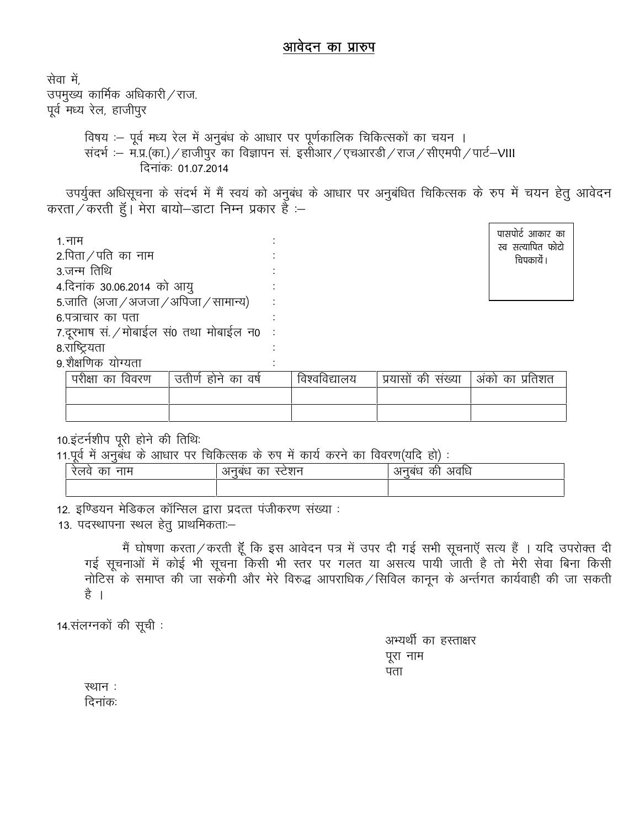## आवेदन का प्रारुप

सेवा में, उपमुख्य कार्मिक अधिकारी / राज. पूर्व मध्य रेल, हाजीपुर विषय :- पूर्व मध्य रेल में अनुबंध के आधार पर पूर्णकालिक चिकित्सकों का चयन । संदर्भ :- म.प्र.(का.) / हाजीपुर का विज्ञापन सं. इसोआर / एचआरडी / राज / सीएमपी / पार्ट-VIII दिनांकः 01.07.2014

उपर्युक्त अधिसूचना के संदर्भ में मैं स्वयं को अनुबंध के आधार पर अनुबंधित चिकित्सक के रुप में चयन हेतु आवेदन करता / करती हूँ। मेरा बायो–डाटा निम्न प्रकार हैं :–

| 1. नाम                                  |
|-----------------------------------------|
| 2.पिता $/$ पति का नाम                   |
| 3.जन्म तिथि                             |
| 4.दिनांक 30.06.2014 को आयु              |
| 5.जाति (अजा / अजजा / अपिजा / सामान्य)   |
| ६ पत्राचार का पता                       |
| 7.दूरभाष सं. / मोबाईल सं0 तथा मोबाईल न0 |
| 8.राष्ट्रियता                           |
| ९ शैक्षणिक योग्यता                      |

पासपोर्ट आकार का स्व सत्यापित फोटो चिपकायें ।

| परीक्षा<br>का<br>विवरण | उतीर्ण होने<br>वर्ष<br>का | विश्वविद्यालय | सख्या<br>प्रयासा<br>का | अको<br>प्रतिशत<br>का |
|------------------------|---------------------------|---------------|------------------------|----------------------|
|                        |                           |               |                        |                      |
|                        |                           |               |                        |                      |

10.इंटर्नशीप पूरी होने की तिथिः

11.पर्व में अनबंध के आधार पर चिकित्सक के रुप में कार्य करने का विवरण(यदि हो) :

| नाम<br>cр<br>.ए। प | ।बध<br>cр<br>Ⅵ<br>$\check{ }$ | अवाध<br>db,<br>। ବଧ<br>\л |
|--------------------|-------------------------------|---------------------------|
|                    |                               |                           |

12. इण्डियन मेडिकल कॉन्सिल द्वारा प्रदत्त पंजीकरण संख्या :

13. पदस्थापना स्थल हेतु प्राथमिकताः-

मैं घोषणा करता / करती हूँ कि इस आवेदन पत्र में उपर दी गई सभी सूचनाएँ सत्य हैं । यदि उपरोक्त दी गई सूचनाओं में कोई भी सूचना किसी भी स्तर पर गलत या असत्य पायी जाती है तो मेरी सेवा बिना किसी नोटिस के समाप्त की जा सकेगी और मेरे विरुद्ध आपराधिक /सिविल कानून के अर्न्तगत कार्यवाही की जा सकती है ।

14.संलग्नकों की सूची:

अभ्यर्थी का हस्ताक्षर पूरा नाम पता

स्थान: दिनांकः